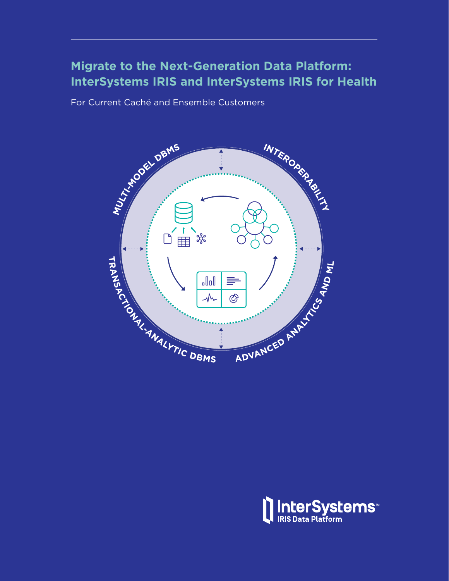## **Migrate to the Next-Generation Data Platform: InterSystems IRIS and InterSystems IRIS for Health**

For Current Caché and Ensemble Customers



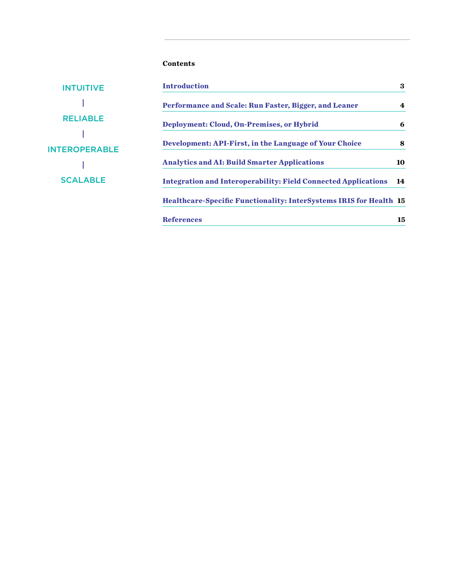#### **Contents**

| <b>INTUITIVE</b>     | <b>Introduction</b>                                                       | 3  |
|----------------------|---------------------------------------------------------------------------|----|
|                      | Performance and Scale: Run Faster, Bigger, and Leaner                     | 4  |
| <b>RELIABLE</b>      | Deployment: Cloud, On-Premises, or Hybrid                                 | 6  |
| <b>INTEROPERABLE</b> | Development: API-First, in the Language of Your Choice                    | 8  |
|                      | <b>Analytics and AI: Build Smarter Applications</b>                       | 10 |
| <b>SCALABLE</b>      | <b>Integration and Interoperability: Field Connected Applications</b>     | 14 |
|                      | <b>Healthcare-Specific Functionality: InterSystems IRIS for Health 15</b> |    |
|                      | <b>References</b>                                                         | 15 |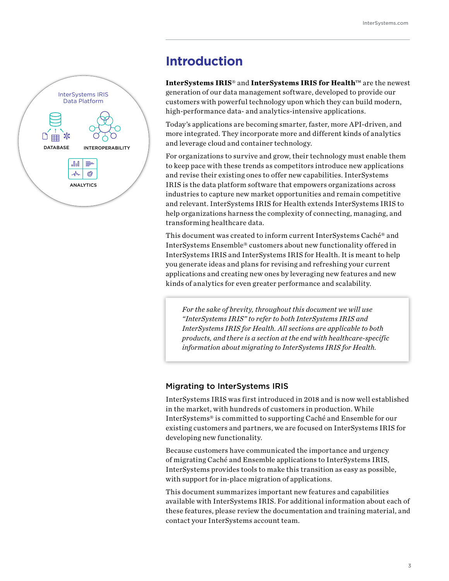# **Introduction**

**InterSystems IRIS**® and **InterSystems IRIS for Health**™ are the newest generation of our data management software, developed to provide our customers with powerful technology upon which they can build modern, high-performance data- and analytics-intensive applications.

Today's applications are becoming smarter, faster, more API-driven, and more integrated. They incorporate more and different kinds of analytics and leverage cloud and container technology.

For organizations to survive and grow, their technology must enable them to keep pace with these trends as competitors introduce new applications and revise their existing ones to offer new capabilities. InterSystems IRIS is the data platform software that empowers organizations across industries to capture new market opportunities and remain competitive and relevant. InterSystems IRIS for Health extends InterSystems IRIS to help organizations harness the complexity of connecting, managing, and transforming healthcare data.

This document was created to inform current InterSystems Caché® and InterSystems Ensemble® customers about new functionality offered in InterSystems IRIS and InterSystems IRIS for Health. It is meant to help you generate ideas and plans for revising and refreshing your current applications and creating new ones by leveraging new features and new kinds of analytics for even greater performance and scalability.

*For the sake of brevity, throughout this document we will use "InterSystems IRIS" to refer to both InterSystems IRIS and InterSystems IRIS for Health. All sections are applicable to both products, and there is a section at the end with healthcare-specific information about migrating to InterSystems IRIS for Health.*

#### Migrating to InterSystems IRIS

InterSystems IRIS was first introduced in 2018 and is now well established in the market, with hundreds of customers in production. While InterSystems® is committed to supporting Caché and Ensemble for our existing customers and partners, we are focused on InterSystems IRIS for developing new functionality.

Because customers have communicated the importance and urgency of migrating Caché and Ensemble applications to InterSystems IRIS, InterSystems provides tools to make this transition as easy as possible, with support for in-place migration of applications.

This document summarizes important new features and capabilities available with InterSystems IRIS. For additional information about each of these features, please review the documentation and training material, and contact your InterSystems account team.

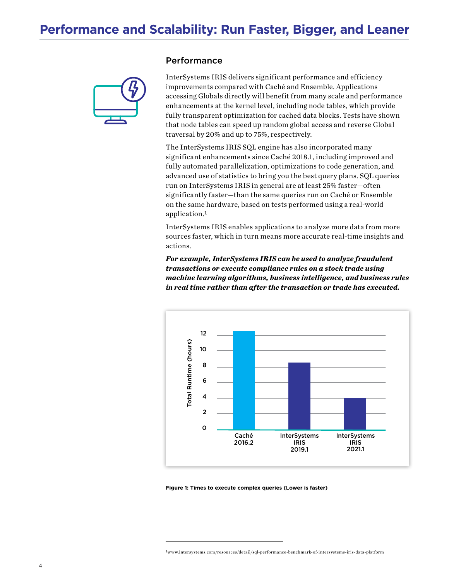

#### Performance

InterSystems IRIS delivers significant performance and efficiency improvements compared with Caché and Ensemble. Applications accessing Globals directly will benefit from many scale and performance enhancements at the kernel level, including node tables, which provide fully transparent optimization for cached data blocks. Tests have shown that node tables can speed up random global access and reverse Global traversal by 20% and up to 75%, respectively.

The InterSystems IRIS SQL engine has also incorporated many significant enhancements since Caché 2018.1, including improved and fully automated parallelization, optimizations to code generation, and advanced use of statistics to bring you the best query plans. SQL queries run on InterSystems IRIS in general are at least 25% faster—often significantly faster—than the same queries run on Caché or Ensemble on the same hardware, based on tests performed using a real-world application.<sup>1</sup>

InterSystems IRIS enables applications to analyze more data from more sources faster, which in turn means more accurate real-time insights and actions.

*For example, InterSystems IRIS can be used to analyze fraudulent transactions or execute compliance rules on a stock trade using machine learning algorithms, business intelligence, and business rules in real time rather than after the transaction or trade has executed.* 



**Figure 1: Times to execute complex queries (Lower is faster)**

 $1$ www.intersystems.com/resources/detail/sql-performance-benchmark-of-intersystems-iris-data-platform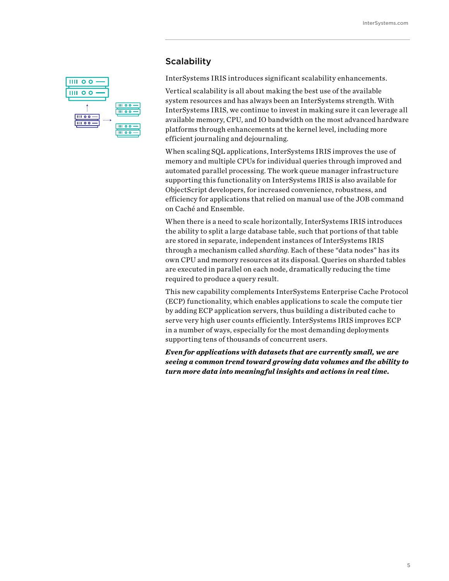### **Scalability**

InterSystems IRIS introduces significant scalability enhancements.

Vertical scalability is all about making the best use of the available system resources and has always been an InterSystems strength. With InterSystems IRIS, we continue to invest in making sure it can leverage all available memory, CPU, and IO bandwidth on the most advanced hardware platforms through enhancements at the kernel level, including more efficient journaling and dejournaling.

When scaling SQL applications, InterSystems IRIS improves the use of memory and multiple CPUs for individual queries through improved and automated parallel processing. The work queue manager infrastructure supporting this functionality on InterSystems IRIS is also available for ObjectScript developers, for increased convenience, robustness, and efficiency for applications that relied on manual use of the JOB command on Caché and Ensemble.

When there is a need to scale horizontally, InterSystems IRIS introduces the ability to split a large database table, such that portions of that table are stored in separate, independent instances of InterSystems IRIS through a mechanism called *sharding*. Each of these "data nodes" has its own CPU and memory resources at its disposal. Queries on sharded tables are executed in parallel on each node, dramatically reducing the time required to produce a query result.

This new capability complements InterSystems Enterprise Cache Protocol (ECP) functionality, which enables applications to scale the compute tier by adding ECP application servers, thus building a distributed cache to serve very high user counts efficiently. InterSystems IRIS improves ECP in a number of ways, especially for the most demanding deployments supporting tens of thousands of concurrent users.

*Even for applications with datasets that are currently small, we are seeing a common trend toward growing data volumes and the ability to turn more data into meaningful insights and actions in real time.*

| o o<br>4        |                           |
|-----------------|---------------------------|
| $\circ$         |                           |
| Ī<br>$^{\circ}$ | IIII OO<br>0 <sub>0</sub> |
| 0 <sub>0</sub>  | $^{\circ}$<br>റ<br>۰      |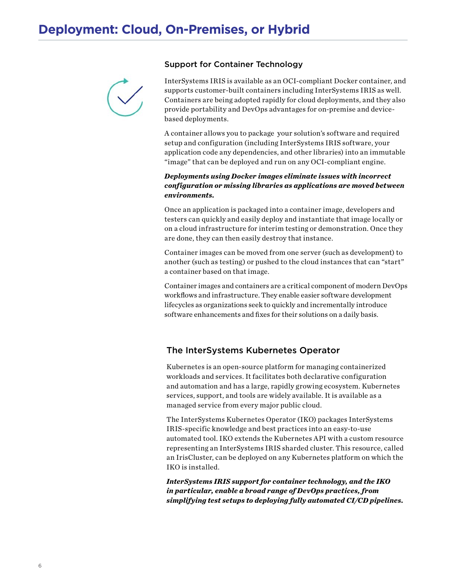#### Support for Container Technology



InterSystems IRIS is available as an OCI-compliant Docker container, and supports customer-built containers including InterSystems IRIS as well. Containers are being adopted rapidly for cloud deployments, and they also provide portability and DevOps advantages for on-premise and devicebased deployments.

A container allows you to package your solution's software and required setup and configuration (including InterSystems IRIS software, your application code any dependencies, and other libraries) into an immutable "image" that can be deployed and run on any OCI-compliant engine.

#### *Deployments using Docker images eliminate issues with incorrect configuration or missing libraries as applications are moved between environments.*

Once an application is packaged into a container image, developers and testers can quickly and easily deploy and instantiate that image locally or on a cloud infrastructure for interim testing or demonstration. Once they are done, they can then easily destroy that instance.

Container images can be moved from one server (such as development) to another (such as testing) or pushed to the cloud instances that can "start" a container based on that image.

Container images and containers are a critical component of modern DevOps workflows and infrastructure. They enable easier software development lifecycles as organizations seek to quickly and incrementally introduce software enhancements and fixes for their solutions on a daily basis.

#### The InterSystems Kubernetes Operator

Kubernetes is an open-source platform for managing containerized workloads and services. It facilitates both declarative configuration and automation and has a large, rapidly growing ecosystem. Kubernetes services, support, and tools are widely available. It is available as a managed service from every major public cloud.

The InterSystems Kubernetes Operator (IKO) packages InterSystems IRIS-specific knowledge and best practices into an easy-to-use automated tool. IKO extends the Kubernetes API with a custom resource representing an InterSystems IRIS sharded cluster. This resource, called an IrisCluster, can be deployed on any Kubernetes platform on which the IKO is installed.

*InterSystems IRIS support for container technology, and the IKO in particular, enable a broad range of DevOps practices, from simplifying test setups to deploying fully automated CI/CD pipelines.*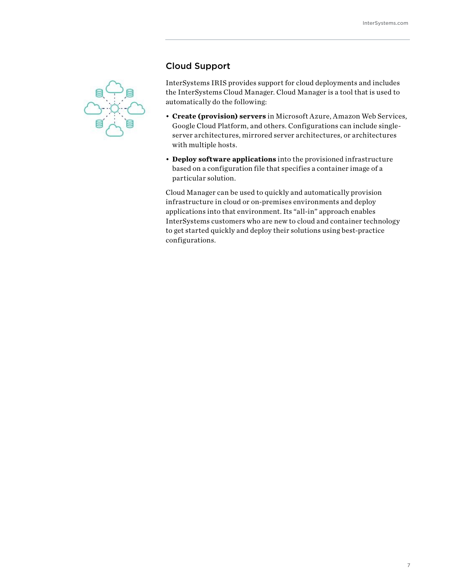

#### Cloud Support

InterSystems IRIS provides support for cloud deployments and includes the InterSystems Cloud Manager. Cloud Manager is a tool that is used to automatically do the following:

- **Create (provision) servers** in Microsoft Azure, Amazon Web Services, Google Cloud Platform, and others. Configurations can include singleserver architectures, mirrored server architectures, or architectures with multiple hosts.
- **Deploy software applications** into the provisioned infrastructure based on a configuration file that specifies a container image of a particular solution.

Cloud Manager can be used to quickly and automatically provision infrastructure in cloud or on-premises environments and deploy applications into that environment. Its "all-in" approach enables InterSystems customers who are new to cloud and container technology to get started quickly and deploy their solutions using best-practice configurations.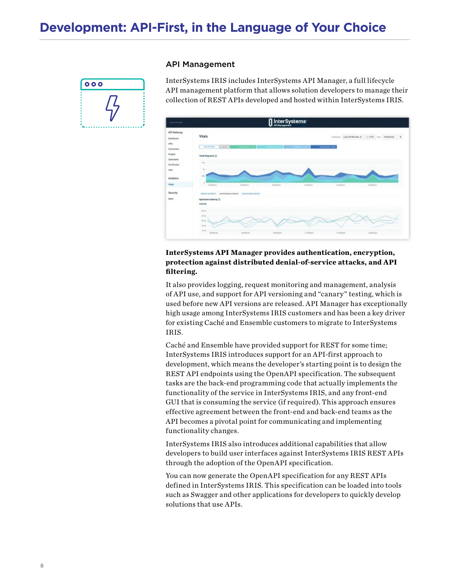API Management



InterSystems IRIS includes InterSystems API Manager, a full lifecycle API management platform that allows solution developers to manage their collection of REST APIs developed and hosted within InterSystems IRIS.



#### **InterSystems API Manager provides authentication, encryption, protection against distributed denial-of-service attacks, and API filtering.**

It also provides logging, request monitoring and management, analysis of API use, and support for API versioning and "canary" testing, which is used before new API versions are released. API Manager has exceptionally high usage among InterSystems IRIS customers and has been a key driver for existing Caché and Ensemble customers to migrate to InterSystems IRIS.

Caché and Ensemble have provided support for REST for some time; InterSystems IRIS introduces support for an API-first approach to development, which means the developer's starting point is to design the REST API endpoints using the OpenAPI specification. The subsequent tasks are the back-end programming code that actually implements the functionality of the service in InterSystems IRIS, and any front-end GUI that is consuming the service (if required). This approach ensures effective agreement between the front-end and back-end teams as the API becomes a pivotal point for communicating and implementing functionality changes.

InterSystems IRIS also introduces additional capabilities that allow developers to build user interfaces against InterSystems IRIS REST APIs through the adoption of the OpenAPI specification.

You can now generate the OpenAPI specification for any REST APIs defined in InterSystems IRIS. This specification can be loaded into tools such as Swagger and other applications for developers to quickly develop solutions that use APIs.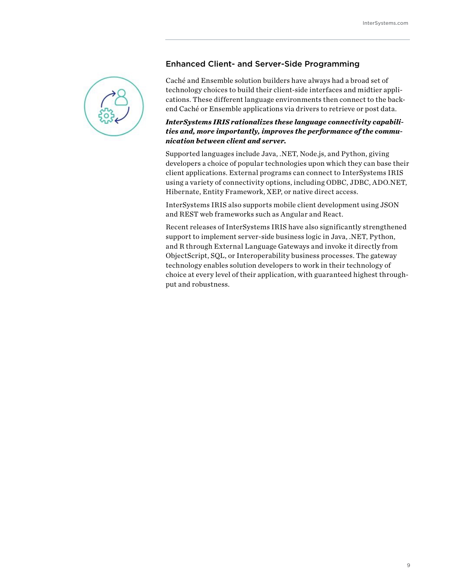

#### Enhanced Client- and Server-Side Programming

Caché and Ensemble solution builders have always had a broad set of technology choices to build their client-side interfaces and midtier applications. These different language environments then connect to the backend Caché or Ensemble applications via drivers to retrieve or post data.

#### *InterSystems IRIS rationalizes these language connectivity capabilities and, more importantly, improves the performance of the communication between client and server.*

Supported languages include Java, .NET, Node.js, and Python, giving developers a choice of popular technologies upon which they can base their client applications. External programs can connect to InterSystems IRIS using a variety of connectivity options, including ODBC, JDBC, ADO.NET, Hibernate, Entity Framework, XEP, or native direct access.

InterSystems IRIS also supports mobile client development using JSON and REST web frameworks such as Angular and React.

Recent releases of InterSystems IRIS have also significantly strengthened support to implement server-side business logic in Java, .NET, Python, and R through External Language Gateways and invoke it directly from ObjectScript, SQL, or Interoperability business processes. The gateway technology enables solution developers to work in their technology of choice at every level of their application, with guaranteed highest throughput and robustness.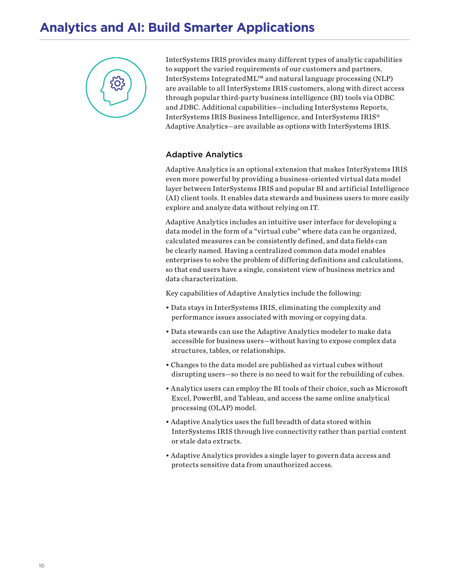# **Analytics and AI: Build Smarter Applications**



InterSystems IRIS provides many different types of analytic capabilities to support the varied requirements of our customers and partners. InterSystems IntegratedML™ and natural language processing (NLP) are available to all InterSystems IRIS customers, along with direct access through popular third-party business intelligence (BI) tools via ODBC and JDBC. Additional capabilities—including InterSystems Reports, InterSystems IRIS Business Intelligence, and InterSystems IRIS® Adaptive Analytics—are available as options with InterSystems IRIS.

#### Adaptive Analytics

Adaptive Analytics is an optional extension that makes InterSystems IRIS even more powerful by providing a business-oriented virtual data model layer between InterSystems IRIS and popular BI and artificial Intelligence (AI) client tools. It enables data stewards and business users to more easily explore and analyze data without relying on IT.

Adaptive Analytics includes an intuitive user interface for developing a data model in the form of a "virtual cube" where data can be organized, calculated measures can be consistently defined, and data fields can be clearly named. Having a centralized common data model enables enterprises to solve the problem of differing definitions and calculations, so that end users have a single, consistent view of business metrics and data characterization.

Key capabilities of Adaptive Analytics include the following:

- Data stays in InterSystems IRIS, eliminating the complexity and performance issues associated with moving or copying data.
- Data stewards can use the Adaptive Analytics modeler to make data accessible for business users—without having to expose complex data structures, tables, or relationships.
- Changes to the data model are published as virtual cubes without disrupting users—so there is no need to wait for the rebuilding of cubes.
- Analytics users can employ the BI tools of their choice, such as Microsoft Excel, PowerBI, and Tableau, and access the same online analytical processing (OLAP) model.
- Adaptive Analytics uses the full breadth of data stored within InterSystems IRIS through live connectivity rather than partial content or stale data extracts.
- Adaptive Analytics provides a single layer to govern data access and protects sensitive data from unauthorized access.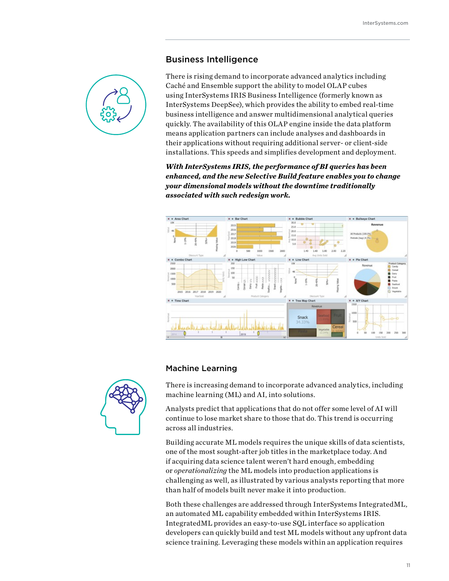#### Business Intelligence



There is rising demand to incorporate advanced analytics including Caché and Ensemble support the ability to model OLAP cubes using InterSystems IRIS Business Intelligence (formerly known as InterSystems DeepSee), which provides the ability to embed real-time business intelligence and answer multidimensional analytical queries quickly. The availability of this OLAP engine inside the data platform means application partners can include analyses and dashboards in their applications without requiring additional server- or client-side installations. This speeds and simplifies development and deployment.

*With InterSystems IRIS, the performance of BI queries has been enhanced, and the new Selective Build feature enables you to change your dimensional models without the downtime traditionally associated with such redesign work.*



#### Machine Learning

There is increasing demand to incorporate advanced analytics, including machine learning (ML) and AI, into solutions.

Analysts predict that applications that do not offer some level of AI will continue to lose market share to those that do. This trend is occurring across all industries.

Building accurate ML models requires the unique skills of data scientists, one of the most sought-after job titles in the marketplace today. And if acquiring data science talent weren't hard enough, embedding or *operationalizing* the ML models into production applications is challenging as well, as illustrated by various analysts reporting that more than half of models built never make it into production.

Both these challenges are addressed through InterSystems IntegratedML, an automated ML capability embedded within InterSystems IRIS. IntegratedML provides an easy-to-use SQL interface so application developers can quickly build and test ML models without any upfront data science training. Leveraging these models within an application requires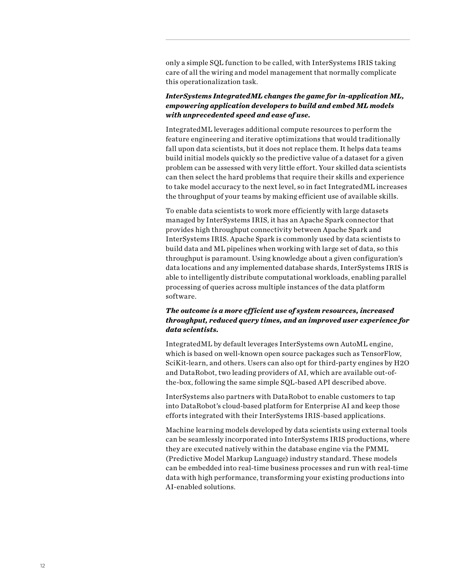only a simple SQL function to be called, with InterSystems IRIS taking care of all the wiring and model management that normally complicate this operationalization task.

#### *InterSystems IntegratedML changes the game for in-application ML, empowering application developers to build and embed ML models with unprecedented speed and ease of use.*

IntegratedML leverages additional compute resources to perform the feature engineering and iterative optimizations that would traditionally fall upon data scientists, but it does not replace them. It helps data teams build initial models quickly so the predictive value of a dataset for a given problem can be assessed with very little effort. Your skilled data scientists can then select the hard problems that require their skills and experience to take model accuracy to the next level, so in fact IntegratedML increases the throughput of your teams by making efficient use of available skills.

To enable data scientists to work more efficiently with large datasets managed by InterSystems IRIS, it has an Apache Spark connector that provides high throughput connectivity between Apache Spark and InterSystems IRIS. Apache Spark is commonly used by data scientists to build data and ML pipelines when working with large set of data, so this throughput is paramount. Using knowledge about a given configuration's data locations and any implemented database shards, InterSystems IRIS is able to intelligently distribute computational workloads, enabling parallel processing of queries across multiple instances of the data platform software.

#### *The outcome is a more efficient use of system resources, increased throughput, reduced query times, and an improved user experience for data scientists.*

IntegratedML by default leverages InterSystems own AutoML engine, which is based on well-known open source packages such as TensorFlow, SciKit-learn, and others. Users can also opt for third-party engines by H2O and DataRobot, two leading providers of AI, which are available out-ofthe-box, following the same simple SQL-based API described above.

InterSystems also partners with DataRobot to enable customers to tap into DataRobot's cloud-based platform for Enterprise AI and keep those efforts integrated with their InterSystems IRIS-based applications.

Machine learning models developed by data scientists using external tools can be seamlessly incorporated into InterSystems IRIS productions, where they are executed natively within the database engine via the PMML (Predictive Model Markup Language) industry standard. These models can be embedded into real-time business processes and run with real-time data with high performance, transforming your existing productions into AI-enabled solutions.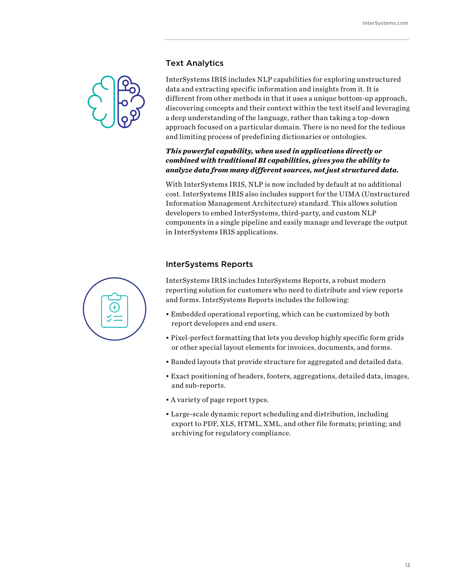#### Text Analytics



InterSystems IRIS includes NLP capabilities for exploring unstructured data and extracting specific information and insights from it. It is different from other methods in that it uses a unique bottom-up approach, discovering concepts and their context within the text itself and leveraging a deep understanding of the language, rather than taking a top-down approach focused on a particular domain. There is no need for the tedious and limiting process of predefining dictionaries or ontologies.

#### *This powerful capability, when used in applications directly or combined with traditional BI capabilities, gives you the ability to analyze data from many different sources, not just structured data.*

With InterSystems IRIS, NLP is now included by default at no additional cost. InterSystems IRIS also includes support for the UIMA (Unstructured Information Management Architecture) standard. This allows solution developers to embed InterSystems, third-party, and custom NLP components in a single pipeline and easily manage and leverage the output in InterSystems IRIS applications.

#### InterSystems Reports

InterSystems IRIS includes InterSystems Reports, a robust modern reporting solution for customers who need to distribute and view reports and forms. InterSystems Reports includes the following:

- Embedded operational reporting, which can be customized by both report developers and end users.
- Pixel-perfect formatting that lets you develop highly specific form grids or other special layout elements for invoices, documents, and forms.
- Banded layouts that provide structure for aggregated and detailed data.
- Exact positioning of headers, footers, aggregations, detailed data, images, and sub-reports.
- A variety of page report types.
- Large-scale dynamic report scheduling and distribution, including export to PDF, XLS, HTML, XML, and other file formats; printing; and archiving for regulatory compliance.

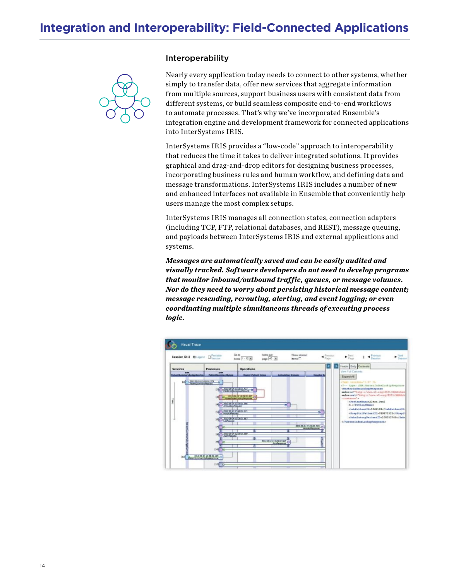#### Interoperability



Nearly every application today needs to connect to other systems, whether simply to transfer data, offer new services that aggregate information from multiple sources, support business users with consistent data from different systems, or build seamless composite end-to-end workflows to automate processes. That's why we've incorporated Ensemble's integration engine and development framework for connected applications into InterSystems IRIS.

InterSystems IRIS provides a "low-code" approach to interoperability that reduces the time it takes to deliver integrated solutions. It provides graphical and drag-and-drop editors for designing business processes, incorporating business rules and human workflow, and defining data and message transformations. InterSystems IRIS includes a number of new and enhanced interfaces not available in Ensemble that conveniently help users manage the most complex setups.

InterSystems IRIS manages all connection states, connection adapters (including TCP, FTP, relational databases, and REST), message queuing, and payloads between InterSystems IRIS and external applications and systems.

*Messages are automatically saved and can be easily audited and visually tracked. Software developers do not need to develop programs that monitor inbound/outbound traffic, queues, or message volumes. Nor do they need to worry about persisting historical message content; message resending, rerouting, alerting, and event logging; or even coordinating multiple simultaneous threads of executing process logic.*

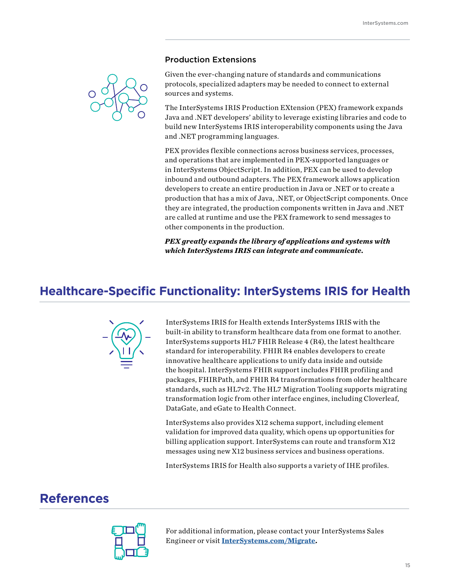#### Production Extensions



Given the ever-changing nature of standards and communications protocols, specialized adapters may be needed to connect to external sources and systems.

The InterSystems IRIS Production EXtension (PEX) framework expands Java and .NET developers' ability to leverage existing libraries and code to build new InterSystems IRIS interoperability components using the Java and .NET programming languages.

PEX provides flexible connections across business services, processes, and operations that are implemented in PEX-supported languages or in InterSystems ObjectScript. In addition, PEX can be used to develop inbound and outbound adapters. The PEX framework allows application developers to create an entire production in Java or .NET or to create a production that has a mix of Java, .NET, or ObjectScript components. Once they are integrated, the production components written in Java and .NET are called at runtime and use the PEX framework to send messages to other components in the production.

*PEX greatly expands the library of applications and systems with which InterSystems IRIS can integrate and communicate.*

## **Healthcare-Specific Functionality: InterSystems IRIS for Health**



InterSystems IRIS for Health extends InterSystems IRIS with the built-in ability to transform healthcare data from one format to another. InterSystems supports HL7 FHIR Release 4 (R4), the latest healthcare standard for interoperability. FHIR R4 enables developers to create innovative healthcare applications to unify data inside and outside the hospital. InterSystems FHIR support includes FHIR profiling and packages, FHIRPath, and FHIR R4 transformations from older healthcare standards, such as HL7v2. The HL7 Migration Tooling supports migrating transformation logic from other interface engines, including Cloverleaf, DataGate, and eGate to Health Connect.

InterSystems also provides X12 schema support, including element validation for improved data quality, which opens up opportunities for billing application support. InterSystems can route and transform X12 messages using new X12 business services and business operations.

InterSystems IRIS for Health also supports a variety of IHE profiles.

## **References**



For additional information, please contact your InterSystems Sales Engineer or visit **[InterSystems.com/Migrate](http://InterSystems.com/Migrate).**